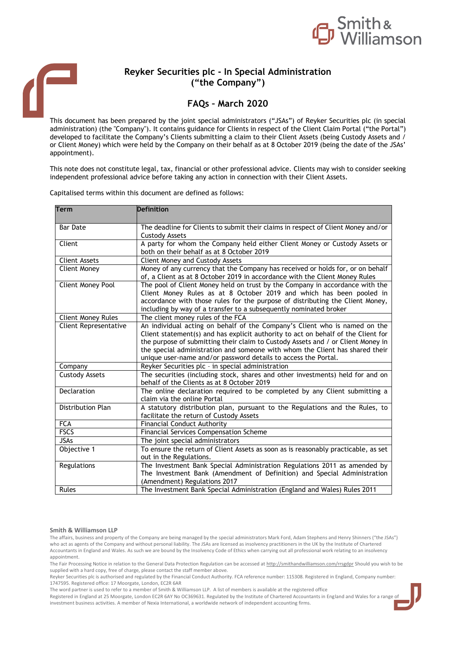

# **Reyker Securities plc - In Special Administration ("the Company")**

# **FAQs – March 2020**

This document has been prepared by the joint special administrators ("JSAs") of Reyker Securities plc (in special administration) (the "Company"). It contains guidance for Clients in respect of the Client Claim Portal ("the Portal") developed to facilitate the Company's Clients submitting a claim to their Client Assets (being Custody Assets and / or Client Money) which were held by the Company on their behalf as at 8 October 2019 (being the date of the JSAs' appointment).

This note does not constitute legal, tax, financial or other professional advice. Clients may wish to consider seeking independent professional advice before taking any action in connection with their Client Assets.

Capitalised terms within this document are defined as follows:

| <b>Term</b>                  | <b>Definition</b>                                                                  |
|------------------------------|------------------------------------------------------------------------------------|
|                              |                                                                                    |
| <b>Bar Date</b>              | The deadline for Clients to submit their claims in respect of Client Money and/or  |
|                              | <b>Custody Assets</b>                                                              |
| Client                       | A party for whom the Company held either Client Money or Custody Assets or         |
|                              | both on their behalf as at 8 October 2019                                          |
| <b>Client Assets</b>         | <b>Client Money and Custody Assets</b>                                             |
| <b>Client Money</b>          | Money of any currency that the Company has received or holds for, or on behalf     |
|                              | of, a Client as at 8 October 2019 in accordance with the Client Money Rules        |
| Client Money Pool            | The pool of Client Money held on trust by the Company in accordance with the       |
|                              | Client Money Rules as at 8 October 2019 and which has been pooled in               |
|                              | accordance with those rules for the purpose of distributing the Client Money,      |
|                              | including by way of a transfer to a subsequently nominated broker                  |
| <b>Client Money Rules</b>    | The client money rules of the FCA                                                  |
| <b>Client Representative</b> | An individual acting on behalf of the Company's Client who is named on the         |
|                              | Client statement(s) and has explicit authority to act on behalf of the Client for  |
|                              | the purpose of submitting their claim to Custody Assets and / or Client Money in   |
|                              | the special administration and someone with whom the Client has shared their       |
|                              | unique user-name and/or password details to access the Portal.                     |
| Company                      | Reyker Securities plc - in special administration                                  |
| <b>Custody Assets</b>        | The securities (including stock, shares and other investments) held for and on     |
|                              | behalf of the Clients as at 8 October 2019                                         |
| Declaration                  | The online declaration required to be completed by any Client submitting a         |
|                              | claim via the online Portal                                                        |
| Distribution Plan            | A statutory distribution plan, pursuant to the Regulations and the Rules, to       |
|                              | facilitate the return of Custody Assets                                            |
| <b>FCA</b><br><b>FSCS</b>    | <b>Financial Conduct Authority</b>                                                 |
| <b>JSAs</b>                  | Financial Services Compensation Scheme                                             |
|                              | The joint special administrators                                                   |
| Objective 1                  | To ensure the return of Client Assets as soon as is reasonably practicable, as set |
|                              | out in the Regulations.                                                            |
| Regulations                  | The Investment Bank Special Administration Regulations 2011 as amended by          |
|                              | The Investment Bank (Amendment of Definition) and Special Administration           |
|                              | (Amendment) Regulations 2017                                                       |
| Rules                        | The Investment Bank Special Administration (England and Wales) Rules 2011          |

#### **Smith & Williamson LLP**

The affairs, business and property of the Company are being managed by the special administrators Mark Ford, Adam Stephens and Henry Shinners ("the JSAs") who act as agents of the Company and without personal liability. The JSAs are licensed as insolvency practitioners in the UK by the Institute of Chartered Accountants in England and Wales. As such we are bound by the Insolvency Code of Ethics when carrying out all professional work relating to an insolvency appointment.

The Fair Processing Notice in relation to the General Data Protection Regulation can be accessed a[t http://smithandwilliamson.com/rrsgdpr](http://smithandwilliamson.com/rrsgdpr) Should you wish to be supplied with a hard copy, free of charge, please contact the staff member above.

Reyker Securities plc is authorised and regulated by the Financial Conduct Authority. FCA reference number: 115308. Registered in England, Company number: 1747595. Registered office: 17 Moorgate, London, EC2R 6AR

The word partner is used to refer to a member of Smith & Williamson LLP. A list of members is available at the registered office

Registered in England at 25 Moorgate, London EC2R 6AY No OC369631. Regulated by the Institute of Chartered Accountants in England and Wales for a range of investment business activities. A member of Nexia International, a worldwide network of independent accounting firms.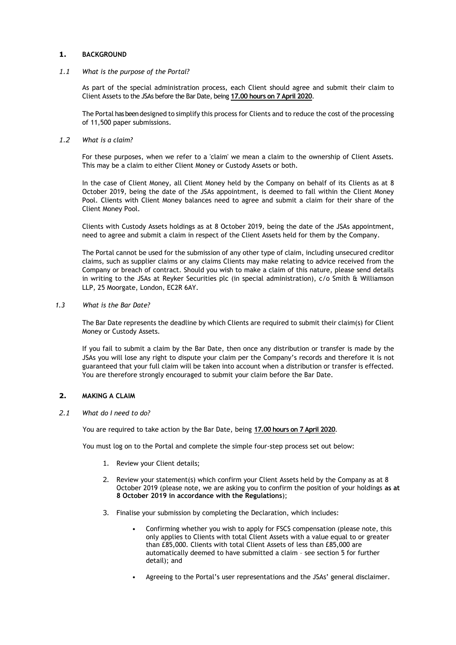# **1. BACKGROUND**

# <span id="page-1-0"></span>*1.1 What is the purpose of the Portal?*

As part of the special administration process, each Client should agree and submit their claim to Client Assets to the JSAs before the Bar Date, being **17.00 hours on 7 April 2020**.

The Portal has beendesigned to simplify this process for Clients and to reduce the cost of the processing of 11,500 paper submissions.

# *1.2 What is a claim?*

For these purposes, when we refer to a 'claim' we mean a claim to the ownership of Client Assets. This may be a claim to either Client Money or Custody Assets or both.

In the case of Client Money, all Client Money held by the Company on behalf of its Clients as at 8 October 2019, being the date of the JSAs appointment, is deemed to fall within the Client Money Pool. Clients with Client Money balances need to agree and submit a claim for their share of the Client Money Pool.

Clients with Custody Assets holdings as at 8 October 2019, being the date of the JSAs appointment, need to agree and submit a claim in respect of the Client Assets held for them by the Company.

The Portal cannot be used for the submission of any other type of claim, including unsecured creditor claims, such as supplier claims or any claims Clients may make relating to advice received from the Company or breach of contract. Should you wish to make a claim of this nature, please send details in writing to the JSAs at Reyker Securities plc (in special administration), c/o Smith & Williamson LLP, 25 Moorgate, London, EC2R 6AY.

# *1.3 What is the Bar Date?*

The Bar Date represents the deadline by which Clients are required to submit their claim(s) for Client Money or Custody Assets.

If you fail to submit a claim by the Bar Date, then once any distribution or transfer is made by the JSAs you will lose any right to dispute your claim per the Company's records and therefore it is not guaranteed that your full claim will be taken into account when a distribution or transfer is effected. You are therefore strongly encouraged to submit your claim before the Bar Date.

# **2. MAKING A CLAIM**

# *2.1 What do I need to do?*

You are required to take action by the Bar Date, being **17.00 hours on 7 April 2020**.

You must log on to the Portal and complete the simple four-step process set out below:

- 1. Review your Client details;
- 2. Review your statement(s) which confirm your Client Assets held by the Company as at 8 October 2019 (please note, we are asking you to confirm the position of your holdings **as at 8 October 2019 in accordance with the Regulations**);
- 3. Finalise your submission by completing the Declaration, which includes:
	- Confirming whether you wish to apply for FSCS compensation (please note, this only applies to Clients with total Client Assets with a value equal to or greater than £85,000. Clients with total Client Assets of less than £85,000 are automatically deemed to have submitted a claim – see section 5 for further detail); and
	- Agreeing to the Portal's user representations and the JSAs' general disclaimer.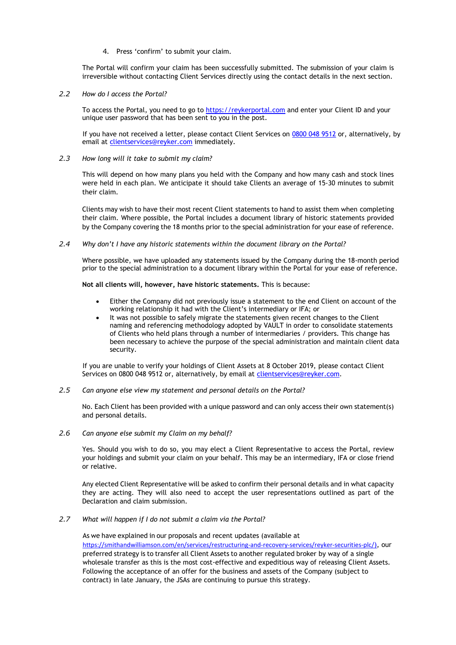4. Press 'confirm' to submit your claim.

The Portal will confirm your claim has been successfully submitted. The submission of your claim is irreversible without contacting Client Services directly using the contact details in the next section.

*2.2 How do I access the Portal?* 

To access the Portal, you need to go to [https://reykerportal.com](https://protect-eu.mimecast.com/s/lTN1CER00s6gQZLfNGy8i?domain=reykerportal.com) and enter your Client ID and your unique user password that has been sent to you in the post.

If you have not received a letter, please contact Client Services on 0800 048 9512 or, alternatively, by email at [clientservices@reyker.com](mailto:clientservices@reyker.com) immediately.

*2.3 How long will it take to submit my claim?*

This will depend on how many plans you held with the Company and how many cash and stock lines were held in each plan. We anticipate it should take Clients an average of 15-30 minutes to submit their claim.

Clients may wish to have their most recent Client statements to hand to assist them when completing their claim. Where possible, the Portal includes a document library of historic statements provided by the Company covering the 18 months prior to the special administration for your ease of reference.

#### *2.4 Why don't I have any historic statements within the document library on the Portal?*

Where possible, we have uploaded any statements issued by the Company during the 18-month period prior to the special administration to a document library within the Portal for your ease of reference.

# **Not all clients will, however, have historic statements.** This is because:

- Either the Company did not previously issue a statement to the end Client on account of the working relationship it had with the Client's intermediary or IFA; or
- It was not possible to safely migrate the statements given recent changes to the Client naming and referencing methodology adopted by VAULT in order to consolidate statements of Clients who held plans through a number of intermediaries / providers. This change has been necessary to achieve the purpose of the special administration and maintain client data security.

If you are unable to verify your holdings of Client Assets at 8 October 2019, please contact Client Services on 0800 048 9512 or, alternatively, by email at [clientservices@reyker.com.](mailto:clientservices@reyker.com)

*2.5 Can anyone else view my statement and personal details on the Portal?*

No. Each Client has been provided with a unique password and can only access their own statement(s) and personal details.

*2.6 Can anyone else submit my Claim on my behalf?*

Yes. Should you wish to do so, you may elect a Client Representative to access the Portal, review your holdings and submit your claim on your behalf. This may be an intermediary, IFA or close friend or relative.

Any elected Client Representative will be asked to confirm their personal details and in what capacity they are acting. They will also need to accept the user representations outlined as part of the Declaration and claim submission.

*2.7 What will happen if I do not submit a claim via the Portal?*

As we have explained in our proposals and recent updates (available at <https://smithandwilliamson.com/en/services/restructuring-and-recovery-services/reyker-securities-plc/>), our preferred strategy is to transfer all Client Assets to another regulated broker by way of a single wholesale transfer as this is the most cost-effective and expeditious way of releasing Client Assets. Following the acceptance of an offer for the business and assets of the Company (subject to contract) in late January, the JSAs are continuing to pursue this strategy.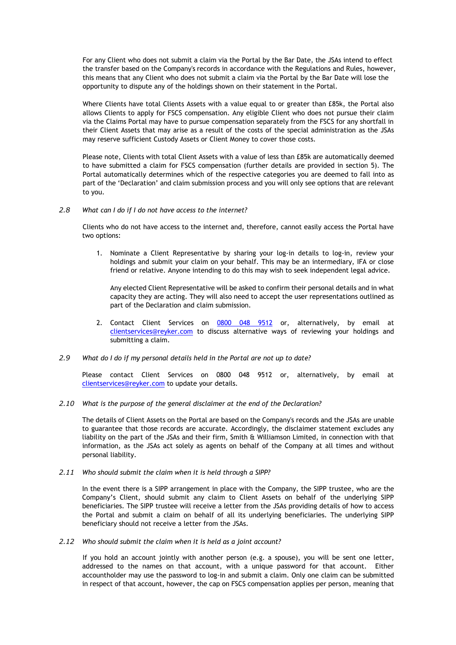For any Client who does not submit a claim via the Portal by the Bar Date, the JSAs intend to effect the transfer based on the Company's records in accordance with the Regulations and Rules, however, this means that any Client who does not submit a claim via the Portal by the Bar Date will lose the opportunity to dispute any of the holdings shown on their statement in the Portal.

Where Clients have total Clients Assets with a value equal to or greater than £85k, the Portal also allows Clients to apply for FSCS compensation. Any eligible Client who does not pursue their claim via the Claims Portal may have to pursue compensation separately from the FSCS for any shortfall in their Client Assets that may arise as a result of the costs of the special administration as the JSAs may reserve sufficient Custody Assets or Client Money to cover those costs.

Please note, Clients with total Client Assets with a value of less than £85k are automatically deemed to have submitted a claim for FSCS compensation (further details are provided in section 5). The Portal automatically determines which of the respective categories you are deemed to fall into as part of the 'Declaration' and claim submission process and you will only see options that are relevant to you.

# *2.8 What can I do if I do not have access to the internet?*

Clients who do not have access to the internet and, therefore, cannot easily access the Portal have two options:

1. Nominate a Client Representative by sharing your log-in details to log-in, review your holdings and submit your claim on your behalf. This may be an intermediary, IFA or close friend or relative. Anyone intending to do this may wish to seek independent legal advice.

Any elected Client Representative will be asked to confirm their personal details and in what capacity they are acting. They will also need to accept the user representations outlined as part of the Declaration and claim submission.

2. Contact Client Services on 0800 048 9512 or, alternatively, by email at [clientservices@reyker.com](mailto:clientservices@reyker.com) to discuss alternative ways of reviewing your holdings and submitting a claim.

# *2.9 What do I do if my personal details held in the Portal are not up to date?*

Please contact Client Services on 0800 048 9512 or, alternatively, by email at [clientservices@reyker.com](mailto:clientservices@reyker.com) to update your details.

# *2.10 What is the purpose of the general disclaimer at the end of the Declaration?*

The details of Client Assets on the Portal are based on the Company's records and the JSAs are unable to guarantee that those records are accurate. Accordingly, the disclaimer statement excludes any liability on the part of the JSAs and their firm, Smith & Williamson Limited, in connection with that information, as the JSAs act solely as agents on behalf of the Company at all times and without personal liability.

# *2.11 Who should submit the claim when it is held through a SIPP?*

In the event there is a SIPP arrangement in place with the Company, the SIPP trustee, who are the Company's Client, should submit any claim to Client Assets on behalf of the underlying SIPP beneficiaries. The SIPP trustee will receive a letter from the JSAs providing details of how to access the Portal and submit a claim on behalf of all its underlying beneficiaries. The underlying SIPP beneficiary should not receive a letter from the JSAs.

# *2.12 Who should submit the claim when it is held as a joint account?*

If you hold an account jointly with another person (e.g. a spouse), you will be sent one letter, addressed to the names on that account, with a unique password for that account. Either accountholder may use the password to log-in and submit a claim. Only one claim can be submitted in respect of that account, however, the cap on FSCS compensation applies per person, meaning that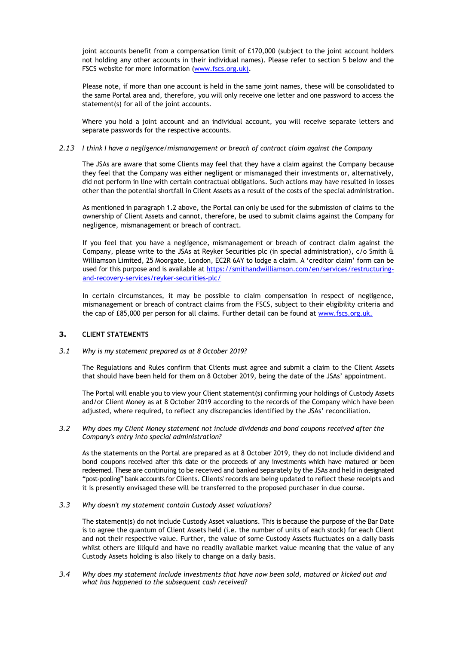joint accounts benefit from a compensation limit of £170,000 (subject to the joint account holders not holding any other accounts in their individual names). Please refer to section 5 below and the FSCS website for more information [\(www.fscs.org.uk\)](http://protect-eu.mimecast.com/s/nimgCnZxECn1AyrTNheeq).

Please note, if more than one account is held in the same joint names, these will be consolidated to the same Portal area and, therefore, you will only receive one letter and one password to access the statement(s) for all of the joint accounts.

Where you hold a joint account and an individual account, you will receive separate letters and separate passwords for the respective accounts.

# *2.13 I think I have a negligence/mismanagement or breach of contract claim against the Company*

The JSAs are aware that some Clients may feel that they have a claim against the Company because they feel that the Company was either negligent or mismanaged their investments or, alternatively, did not perform in line with certain contractual obligations. Such actions may have resulted in losses other than the potential shortfall in Client Assets as a result of the costs of the special administration.

As mentioned in paragraph [1.2](#page-1-0) above, the Portal can only be used for the submission of claims to the ownership of Client Assets and cannot, therefore, be used to submit claims against the Company for negligence, mismanagement or breach of contract.

If you feel that you have a negligence, mismanagement or breach of contract claim against the Company, please write to the JSAs at Reyker Securities plc (in special administration), c/o Smith & Williamson Limited, 25 Moorgate, London, EC2R 6AY to lodge a claim. A 'creditor claim' form can be used for this purpose and is available a[t https://smithandwilliamson.com/en/services/restructuring](https://smithandwilliamson.com/en/services/restructuring-and-recovery-services/reyker-securities-plc/)[and-recovery-services/reyker-securities-plc/](https://smithandwilliamson.com/en/services/restructuring-and-recovery-services/reyker-securities-plc/)

In certain circumstances, it may be possible to claim compensation in respect of negligence, mismanagement or breach of contract claims from the FSCS, subject to their eligibility criteria and the cap of £85,000 per person for all claims. Further detail can be found at [www.fscs.org.uk.](http://protect-eu.mimecast.com/s/nimgCnZxECn1AyrTNheeq)

# **3. CLIENT STATEMENTS**

# *3.1 Why is my statement prepared as at 8 October 2019?*

The Regulations and Rules confirm that Clients must agree and submit a claim to the Client Assets that should have been held for them on 8 October 2019, being the date of the JSAs' appointment.

The Portal will enable you to view your Client statement(s) confirming your holdings of Custody Assets and/or Client Money as at 8 October 2019 according to the records of the Company which have been adjusted, where required, to reflect any discrepancies identified by the JSAs' reconciliation.

*3.2 Why does my Client Money statement not include dividends and bond coupons received after the Company's entry into special administration?*

As the statements on the Portal are prepared as at 8 October 2019, they do not include dividend and bond coupons received after this date or the proceeds of any investments which have matured or been redeemed. These are continuing to be received and banked separately by the JSAs and held in designated "post-pooling" bank accounts for Clients. Clients' records are being updated to reflect these receipts and it is presently envisaged these will be transferred to the proposed purchaser in due course.

# *3.3 Why doesn't my statement contain Custody Asset valuations?*

The statement(s) do not include Custody Asset valuations. This is because the purpose of the Bar Date is to agree the quantum of Client Assets held (i.e. the number of units of each stock) for each Client and not their respective value. Further, the value of some Custody Assets fluctuates on a daily basis whilst others are illiquid and have no readily available market value meaning that the value of any Custody Assets holding is also likely to change on a daily basis.

*3.4 Why does my statement include investments that have now been sold, matured or kicked out and what has happened to the subsequent cash received?*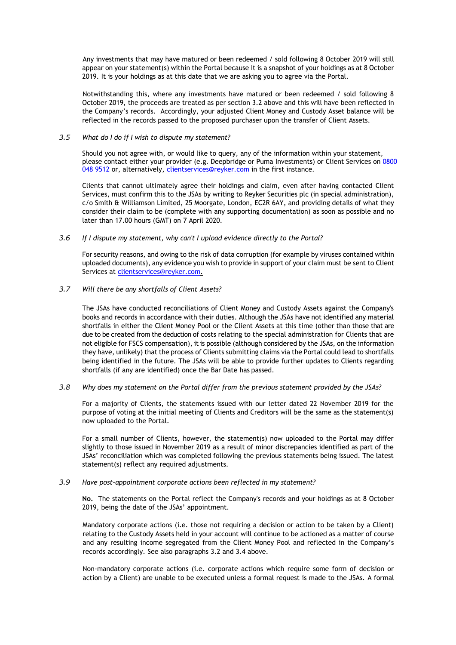Any investments that may have matured or been redeemed / sold following 8 October 2019 will still appear on your statement(s) within the Portal because it is a snapshot of your holdings as at 8 October 2019. It is your holdings as at this date that we are asking you to agree via the Portal.

Notwithstanding this, where any investments have matured or been redeemed / sold following 8 October 2019, the proceeds are treated as per section 3.2 above and this will have been reflected in the Company's records. Accordingly, your adjusted Client Money and Custody Asset balance will be reflected in the records passed to the proposed purchaser upon the transfer of Client Assets.

# *3.5 What do I do if I wish to dispute my statement?*

Should you not agree with, or would like to query, any of the information within your statement, please contact either your provider (e.g. Deepbridge or Puma Investments) or Client Services on 0800 048 9512 or, alternatively, [clientservices@reyker.com](mailto:clientservices@reyker.com) in the first instance.

Clients that cannot ultimately agree their holdings and claim, even after having contacted Client Services, must confirm this to the JSAs by writing to Reyker Securities plc (in special administration), c/o Smith & Williamson Limited, 25 Moorgate, London, EC2R 6AY, and providing details of what they consider their claim to be (complete with any supporting documentation) as soon as possible and no later than 17.00 hours (GMT) on 7 April 2020.

# *3.6 If I dispute my statement, why can't I upload evidence directly to the Portal?*

For security reasons, and owing to the risk of data corruption (for example by viruses contained within uploaded documents), any evidence you wish to provide in support of your claim must be sent to Client Services at [clientservices@reyker.com.](mailto:clientservices@reyker.com)

# *3.7 Will there be any shortfalls of Client Assets?*

The JSAs have conducted reconciliations of Client Money and Custody Assets against the Company's books and records in accordance with their duties. Although the JSAs have not identified any material shortfalls in either the Client Money Pool or the Client Assets at this time (other than those that are due to be created from the deduction of costs relating to the special administration for Clients that are not eligible for FSCS compensation), it is possible (although considered by the JSAs, on the information they have, unlikely) that the process of Clients submitting claims via the Portal could lead to shortfalls being identified in the future. The JSAs will be able to provide further updates to Clients regarding shortfalls (if any are identified) once the Bar Date has passed.

# *3.8 Why does my statement on the Portal differ from the previous statement provided by the JSAs?*

For a majority of Clients, the statements issued with our letter dated 22 November 2019 for the purpose of voting at the initial meeting of Clients and Creditors will be the same as the statement(s) now uploaded to the Portal.

For a small number of Clients, however, the statement(s) now uploaded to the Portal may differ slightly to those issued in November 2019 as a result of minor discrepancies identified as part of the JSAs' reconciliation which was completed following the previous statements being issued. The latest statement(s) reflect any required adjustments.

# *3.9 Have post-appointment corporate actions been reflected in my statement?*

**No.** The statements on the Portal reflect the Company's records and your holdings as at 8 October 2019, being the date of the JSAs' appointment.

Mandatory corporate actions (i.e. those not requiring a decision or action to be taken by a Client) relating to the Custody Assets held in your account will continue to be actioned as a matter of course and any resulting income segregated from the Client Money Pool and reflected in the Company's records accordingly. See also paragraphs 3.2 and 3.4 above.

Non-mandatory corporate actions (i.e. corporate actions which require some form of decision or action by a Client) are unable to be executed unless a formal request is made to the JSAs. A formal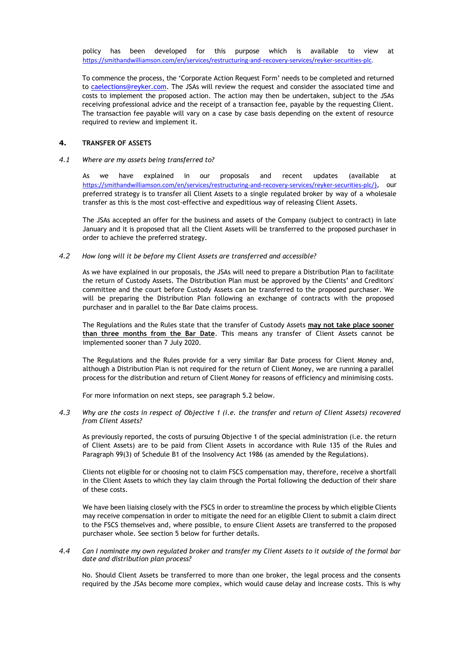policy has been developed for this purpose which is available to view at [https://smithandwilliamson.com/en/services/restructuring-and-recovery-services/reyker-securities-plc.](https://smithandwilliamson.com/en/services/restructuring-and-recovery-services/reyker-securities-plc)

To commence the process, the 'Corporate Action Request Form' needs to be completed and returned to [caelections@reyker.com.](mailto:caelections@reyker.com) The JSAs will review the request and consider the associated time and costs to implement the proposed action. The action may then be undertaken, subject to the JSAs receiving professional advice and the receipt of a transaction fee, payable by the requesting Client. The transaction fee payable will vary on a case by case basis depending on the extent of resource required to review and implement it.

# **4. TRANSFER OF ASSETS**

# *4.1 Where are my assets being transferred to?*

As we have explained in our proposals and recent updates (available at <https://smithandwilliamson.com/en/services/restructuring-and-recovery-services/reyker-securities-plc/>), our preferred strategy is to transfer all Client Assets to a single regulated broker by way of a wholesale transfer as this is the most cost-effective and expeditious way of releasing Client Assets.

The JSAs accepted an offer for the business and assets of the Company (subject to contract) in late January and it is proposed that all the Client Assets will be transferred to the proposed purchaser in order to achieve the preferred strategy.

# *4.2 How long will it be before my Client Assets are transferred and accessible?*

As we have explained in our proposals, the JSAs will need to prepare a Distribution Plan to facilitate the return of Custody Assets. The Distribution Plan must be approved by the Clients' and Creditors' committee and the court before Custody Assets can be transferred to the proposed purchaser. We will be preparing the Distribution Plan following an exchange of contracts with the proposed purchaser and in parallel to the Bar Date claims process.

The Regulations and the Rules state that the transfer of Custody Assets **may not take place sooner than three months from the Bar Date**. This means any transfer of Client Assets cannot be implemented sooner than 7 July 2020.

The Regulations and the Rules provide for a very similar Bar Date process for Client Money and, although a Distribution Plan is not required for the return of Client Money, we are running a parallel process for the distribution and return of Client Money for reasons of efficiency and minimising costs.

For more information on next steps, [see paragraph 5.2 b](#page-9-0)elow.

*4.3 Why are the costs in respect of Objective 1 (i.e. the transfer and return of Client Assets) recovered from Client Assets?* 

As previously reported, the costs of pursuing Objective 1 of the special administration (i.e. the return of Client Assets) are to be paid from Client Assets in accordance with Rule 135 of the Rules and Paragraph 99(3) of Schedule B1 of the Insolvency Act 1986 (as amended by the Regulations).

Clients not eligible for or choosing not to claim FSCS compensation may, therefore, receive a shortfall in the Client Assets to which they lay claim through the Portal following the deduction of their share of these costs.

We have been liaising closely with the FSCS in order to streamline the process by which eligible Clients may receive compensation in order to mitigate the need for an eligible Client to submit a claim direct to the FSCS themselves and, where possible, to ensure Client Assets are transferred to the proposed purchaser whole. See section 5 below for further details.

# *4.4 Can I nominate my own regulated broker and transfer my Client Assets to it outside of the formal bar date and distribution plan process?*

No. Should Client Assets be transferred to more than one broker, the legal process and the consents required by the JSAs become more complex, which would cause delay and increase costs. This is why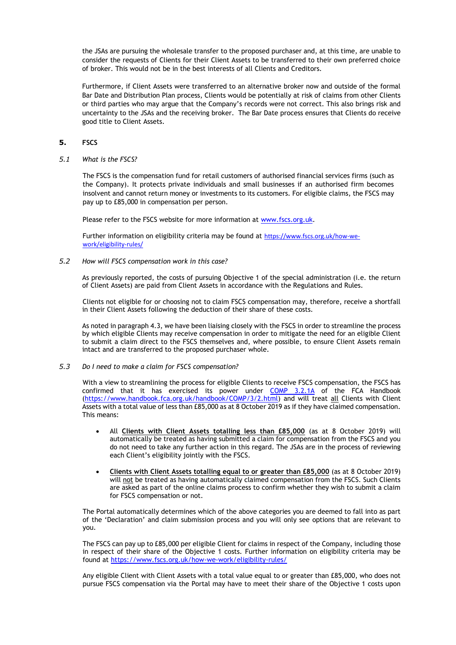the JSAs are pursuing the wholesale transfer to the proposed purchaser and, at this time, are unable to consider the requests of Clients for their Client Assets to be transferred to their own preferred choice of broker. This would not be in the best interests of all Clients and Creditors.

Furthermore, if Client Assets were transferred to an alternative broker now and outside of the formal Bar Date and Distribution Plan process, Clients would be potentially at risk of claims from other Clients or third parties who may argue that the Company's records were not correct. This also brings risk and uncertainty to the JSAs and the receiving broker. The Bar Date process ensures that Clients do receive good title to Client Assets.

# **5. FSCS**

*5.1 What is the FSCS?*

The FSCS is the compensation fund for retail customers of authorised financial services firms (such as the Company). It protects private individuals and small businesses if an authorised firm becomes insolvent and cannot return money or investments to its customers. For eligible claims, the FSCS may pay up to £85,000 in compensation per person.

Please refer to the FSCS website for more information at [www.fscs.org.uk.](http://protect-eu.mimecast.com/s/nimgCnZxECn1AyrTNheeq)

Further information on eligibility criteria may be found at [https://www.fscs.org.uk/how-we](https://www.fscs.org.uk/how-we-work/eligibility-rules/)[work/eligibility-rules/](https://www.fscs.org.uk/how-we-work/eligibility-rules/)

*5.2 How will FSCS compensation work in this case?*

As previously reported, the costs of pursuing Objective 1 of the special administration (i.e. the return of Client Assets) are paid from Client Assets in accordance with the Regulations and Rules.

Clients not eligible for or choosing not to claim FSCS compensation may, therefore, receive a shortfall in their Client Assets following the deduction of their share of these costs.

As noted in paragraph 4.3, we have been liaising closely with the FSCS in order to streamline the process by which eligible Clients may receive compensation in order to mitigate the need for an eligible Client to submit a claim direct to the FSCS themselves and, where possible, to ensure Client Assets remain intact and are transferred to the proposed purchaser whole.

*5.3 Do I need to make a claim for FSCS compensation?* 

With a view to streamlining the process for eligible Clients to receive FSCS compensation, the FSCS has confirmed that it has exercised its power under COMP [3.2.1A](https://protect-eu.mimecast.com/s/fmpACkRrrsq5wr9U2f2Nn?domain=handbook.fca.org.uk) of the FCA Handbook [\(https://www.handbook.fca.org.uk/handbook/COMP/3/2.html\)](https://www.handbook.fca.org.uk/handbook/COMP/3/2.html) and will treat all Clients with Client Assets with a total value of less than £85,000 as at 8 October 2019 as if they have claimed compensation. This means:

- All **Clients with Client Assets totalling less than £85,000** (as at 8 October 2019) will automatically be treated as having submitted a claim for compensation from the FSCS and you do not need to take any further action in this regard. The JSAs are in the process of reviewing each Client's eligibility jointly with the FSCS.
- **Clients with Client Assets totalling equal to or greater than £85,000** (as at 8 October 2019) will not be treated as having automatically claimed compensation from the FSCS. Such Clients are asked as part of the online claims process to confirm whether they wish to submit a claim for FSCS compensation or not.

The Portal automatically determines which of the above categories you are deemed to fall into as part of the 'Declaration' and claim submission process and you will only see options that are relevant to you.

The FSCS can pay up to £85,000 per eligible Client for claims in respect of the Company, including those in respect of their share of the Objective 1 costs. Further information on eligibility criteria may be found a[t https://www.fscs.org.uk/how-we-work/eligibility-rules/](https://www.fscs.org.uk/how-we-work/eligibility-rules/)

Any eligible Client with Client Assets with a total value equal to or greater than £85,000, who does not pursue FSCS compensation via the Portal may have to meet their share of the Objective 1 costs upon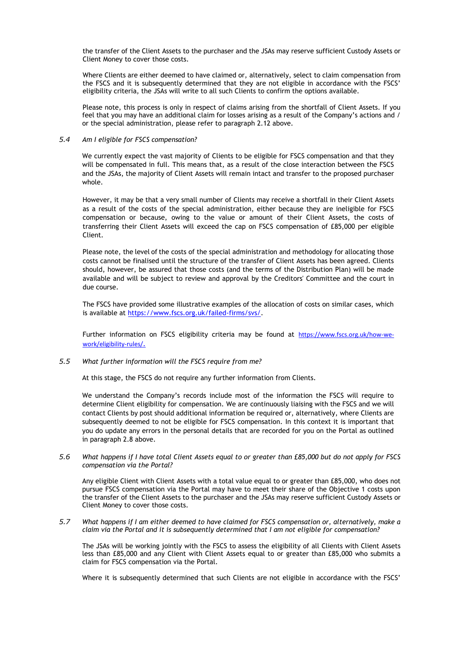the transfer of the Client Assets to the purchaser and the JSAs may reserve sufficient Custody Assets or Client Money to cover those costs.

Where Clients are either deemed to have claimed or, alternatively, select to claim compensation from the FSCS and it is subsequently determined that they are not eligible in accordance with the FSCS' eligibility criteria, the JSAs will write to all such Clients to confirm the options available.

Please note, this process is only in respect of claims arising from the shortfall of Client Assets. If you feel that you may have an additional claim for losses arising as a result of the Company's actions and / or the special administration, please refer to paragraph 2.12 above.

# *5.4 Am I eligible for FSCS compensation?*

We currently expect the vast majority of Clients to be eligible for FSCS compensation and that they will be compensated in full. This means that, as a result of the close interaction between the FSCS and the JSAs, the majority of Client Assets will remain intact and transfer to the proposed purchaser whole.

However, it may be that a very small number of Clients may receive a shortfall in their Client Assets as a result of the costs of the special administration, either because they are ineligible for FSCS compensation or because, owing to the value or amount of their Client Assets, the costs of transferring their Client Assets will exceed the cap on FSCS compensation of £85,000 per eligible Client.

Please note, the level of the costs of the special administration and methodology for allocating those costs cannot be finalised until the structure of the transfer of Client Assets has been agreed. Clients should, however, be assured that those costs (and the terms of the Distribution Plan) will be made available and will be subject to review and approval by the Creditors' Committee and the court in due course.

The FSCS have provided some illustrative examples of the allocation of costs on similar cases, which is available at [https://www.fscs.org.uk/failed-firms/svs/.](https://www.fscs.org.uk/failed-firms/svs/)

Further information on FSCS eligibility criteria may be found at [https://www.fscs.org.uk/how-we](https://www.fscs.org.uk/how-we-work/eligibility-rules/)[work/eligibility-rules/](https://www.fscs.org.uk/how-we-work/eligibility-rules/).

*5.5 What further information will the FSCS require from me?*

At this stage, the FSCS do not require any further information from Clients.

We understand the Company's records include most of the information the FSCS will require to determine Client eligibility for compensation. We are continuously liaising with the FSCS and we will contact Clients by post should additional information be required or, alternatively, where Clients are subsequently deemed to not be eligible for FSCS compensation. In this context it is important that you do update any errors in the personal details that are recorded for you on the Portal as outlined in paragraph 2.8 above.

*5.6 What happens if I have total Client Assets equal to or greater than £85,000 but do not apply for FSCS compensation via the Portal?*

Any eligible Client with Client Assets with a total value equal to or greater than £85,000, who does not pursue FSCS compensation via the Portal may have to meet their share of the Objective 1 costs upon the transfer of the Client Assets to the purchaser and the JSAs may reserve sufficient Custody Assets or Client Money to cover those costs.

*5.7 What happens if I am either deemed to have claimed for FSCS compensation or, alternatively, make a claim via the Portal and it is subsequently determined that I am not eligible for compensation?* 

The JSAs will be working jointly with the FSCS to assess the eligibility of all Clients with Client Assets less than £85,000 and any Client with Client Assets equal to or greater than £85,000 who submits a claim for FSCS compensation via the Portal.

Where it is subsequently determined that such Clients are not eligible in accordance with the FSCS'